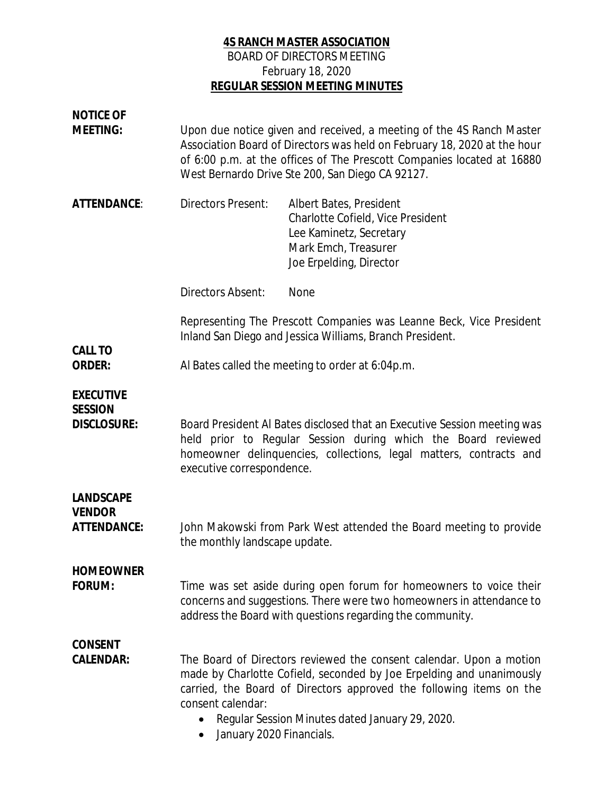## **4S RANCH MASTER ASSOCIATION** BOARD OF DIRECTORS MEETING February 18, 2020 **REGULAR SESSION MEETING MINUTES**

| <b>NOTICE OF</b><br><b>MEETING:</b>               | Upon due notice given and received, a meeting of the 4S Ranch Master<br>Association Board of Directors was held on February 18, 2020 at the hour<br>of 6:00 p.m. at the offices of The Prescott Companies located at 16880<br>West Bernardo Drive Ste 200, San Diego CA 92127.                                         |                                                                                                                                            |
|---------------------------------------------------|------------------------------------------------------------------------------------------------------------------------------------------------------------------------------------------------------------------------------------------------------------------------------------------------------------------------|--------------------------------------------------------------------------------------------------------------------------------------------|
| ATTENDANCE:                                       | <b>Directors Present:</b>                                                                                                                                                                                                                                                                                              | Albert Bates, President<br>Charlotte Cofield, Vice President<br>Lee Kaminetz, Secretary<br>Mark Emch, Treasurer<br>Joe Erpelding, Director |
|                                                   | Directors Absent:                                                                                                                                                                                                                                                                                                      | <b>None</b>                                                                                                                                |
|                                                   | Representing The Prescott Companies was Leanne Beck, Vice President<br>Inland San Diego and Jessica Williams, Branch President.                                                                                                                                                                                        |                                                                                                                                            |
| CALL TO<br>ORDER:                                 | Al Bates called the meeting to order at 6:04p.m.                                                                                                                                                                                                                                                                       |                                                                                                                                            |
| <b>EXECUTIVE</b><br><b>SESSION</b><br>DISCLOSURE: | Board President Al Bates disclosed that an Executive Session meeting was<br>held prior to Regular Session during which the Board reviewed<br>homeowner delinquencies, collections, legal matters, contracts and<br>executive correspondence.                                                                           |                                                                                                                                            |
| LANDSCAPE<br><b>VENDOR</b><br>ATTENDANCE:         | John Makowski from Park West attended the Board meeting to provide<br>the monthly landscape update.                                                                                                                                                                                                                    |                                                                                                                                            |
| <b>HOMEOWNER</b><br>FORUM:                        | Time was set aside during open forum for homeowners to voice their<br>concerns and suggestions. There were two homeowners in attendance to<br>address the Board with questions regarding the community.                                                                                                                |                                                                                                                                            |
| <b>CONSENT</b><br>CALENDAR:                       | The Board of Directors reviewed the consent calendar. Upon a motion<br>made by Charlotte Cofield, seconded by Joe Erpelding and unanimously<br>carried, the Board of Directors approved the following items on the<br>consent calendar:<br>Regular Session Minutes dated January 29, 2020.<br>January 2020 Financials. |                                                                                                                                            |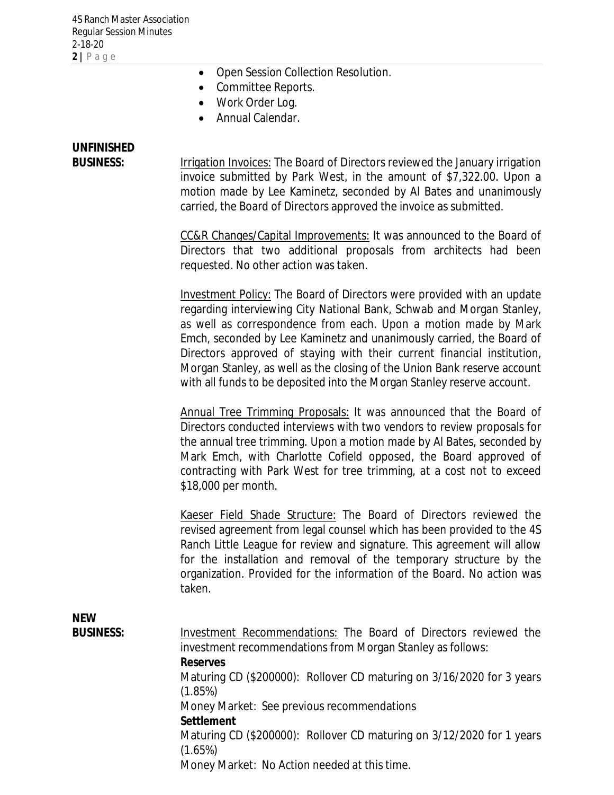- · Open Session Collection Resolution.
- · Committee Reports.
- Work Order Log.
- · Annual Calendar.

## **UNFINISHED**

BUSINESS: Irrigation Invoices: The Board of Directors reviewed the January irrigation invoice submitted by Park West, in the amount of \$7,322.00. Upon a motion made by Lee Kaminetz, seconded by Al Bates and unanimously carried, the Board of Directors approved the invoice as submitted.

> CC&R Changes/Capital Improvements: It was announced to the Board of Directors that two additional proposals from architects had been requested. No other action was taken.

> Investment Policy: The Board of Directors were provided with an update regarding interviewing City National Bank, Schwab and Morgan Stanley, as well as correspondence from each. Upon a motion made by Mark Emch, seconded by Lee Kaminetz and unanimously carried, the Board of Directors approved of staying with their current financial institution, Morgan Stanley, as well as the closing of the Union Bank reserve account with all funds to be deposited into the Morgan Stanley reserve account.

> Annual Tree Trimming Proposals: It was announced that the Board of Directors conducted interviews with two vendors to review proposals for the annual tree trimming. Upon a motion made by Al Bates, seconded by Mark Emch, with Charlotte Cofield opposed, the Board approved of contracting with Park West for tree trimming, at a cost not to exceed \$18,000 per month.

> Kaeser Field Shade Structure: The Board of Directors reviewed the revised agreement from legal counsel which has been provided to the 4S Ranch Little League for review and signature. This agreement will allow for the installation and removal of the temporary structure by the organization. Provided for the information of the Board. No action was taken.

**NEW**

| <b>BUSINESS:</b> | Investment Recommendations: The Board of Directors reviewed the       |  |  |
|------------------|-----------------------------------------------------------------------|--|--|
|                  | investment recommendations from Morgan Stanley as follows:            |  |  |
|                  | Reserves                                                              |  |  |
|                  | Maturing CD (\$200000): Rollover CD maturing on 3/16/2020 for 3 years |  |  |
|                  | (1.85%)                                                               |  |  |
|                  | Money Market: See previous recommendations                            |  |  |
|                  | Settlement                                                            |  |  |
|                  | Maturing CD (\$200000): Rollover CD maturing on 3/12/2020 for 1 years |  |  |
|                  | (1.65%)                                                               |  |  |
|                  | Money Market: No Action needed at this time.                          |  |  |